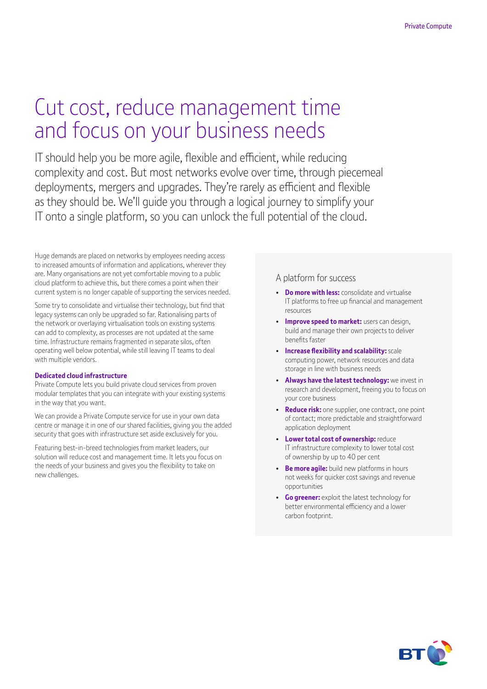# Cut cost, reduce management time and focus on your business needs

IT should help you be more agile, flexible and efficient, while reducing complexity and cost. But most networks evolve over time, through piecemeal deployments, mergers and upgrades. They're rarely as efficient and flexible as they should be. We'll guide you through a logical journey to simplify your IT onto a single platform, so you can unlock the full potential of the cloud.

Huge demands are placed on networks by employees needing access to increased amounts of information and applications, wherever they are. Many organisations are not yet comfortable moving to a public cloud platform to achieve this, but there comes a point when their current system is no longer capable of supporting the services needed.

Some try to consolidate and virtualise their technology, but find that legacy systems can only be upgraded so far. Rationalising parts of the network or overlaying virtualisation tools on existing systems can add to complexity, as processes are not updated at the same time. Infrastructure remains fragmented in separate silos, often operating well below potential, while still leaving IT teams to deal with multiple vendors.

### **Dedicated cloud infrastructure**

Private Compute lets you build private cloud services from proven modular templates that you can integrate with your existing systems in the way that you want.

We can provide a Private Compute service for use in your own data centre or manage it in one of our shared facilities, giving you the added security that goes with infrastructure set aside exclusively for you.

Featuring best-in-breed technologies from market leaders, our solution will reduce cost and management time. It lets you focus on the needs of your business and gives you the flexibility to take on new challenges.

### A platform for success

- **Do more with less:** consolidate and virtualise IT platforms to free up financial and management resources
- **Improve speed to market:** users can design, build and manage their own projects to deliver benefits faster
- **Increase flexibility and scalability:** scale computing power, network resources and data storage in line with business needs
- **Always have the latest technology:** we invest in research and development, freeing you to focus on your core business
- **Reduce risk:** one supplier, one contract, one point of contact; more predictable and straightforward application deployment
- **Lower total cost of ownership:** reduce IT infrastructure complexity to lower total cost of ownership by up to 40 per cent
- **Be more agile:** build new platforms in hours not weeks for quicker cost savings and revenue opportunities
- **Go greener:** exploit the latest technology for better environmental efficiency and a lower carbon footprint.